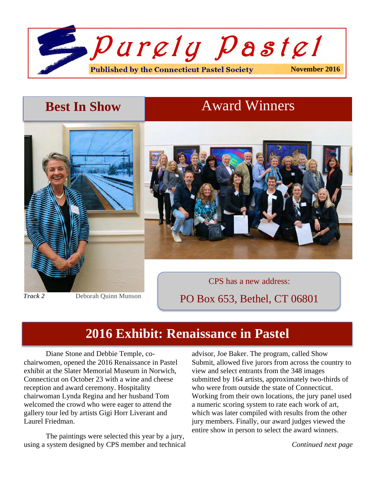

# **Best In Show Award Winners**





*Track 2* Deborah Quinn Munson

PO Box 653, Bethel, CT 06801

### **2016 Exhibit: Renaissance in Pastel**

Diane Stone and Debbie Temple, cochairwomen, opened the 2016 Renaissance in Pastel exhibit at the Slater Memorial Museum in Norwich, Connecticut on October 23 with a wine and cheese reception and award ceremony. Hospitality chairwoman Lynda Regina and her husband Tom welcomed the crowd who were eager to attend the gallery tour led by artists Gigi Horr Liverant and Laurel Friedman.

The paintings were selected this year by a jury, using a system designed by CPS member and technical advisor, Joe Baker. The program, called Show Submit, allowed five jurors from across the country to view and select entrants from the 348 images submitted by 164 artists, approximately two-thirds of who were from outside the state of Connecticut. Working from their own locations, the jury panel used a numeric scoring system to rate each work of art, which was later compiled with results from the other jury members. Finally, our award judges viewed the entire show in person to select the award winners.

*Continued next page*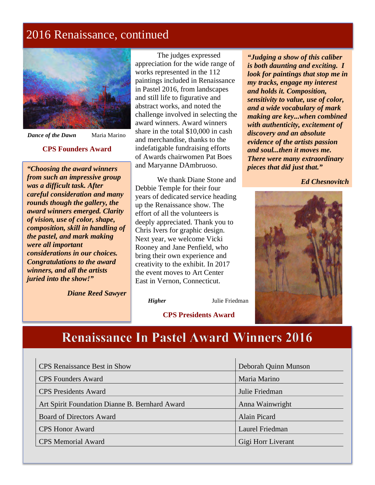### 2016 Renaissance, continued



3

1

*Dance of the Dawn* Maria Marino

#### **CPS Founders Award**

*"Choosing the award winners from such an impressive group was a difficult task. After careful consideration and many rounds though the gallery, the award winners emerged. Clarity of vision, use of color, shape, composition, skill in handling of the pastel, and mark making were all important considerations in our choices. Congratulations to the award winners, and all the artists juried into the show!"*

*Diane Reed Sawyer*

The judges expressed appreciation for the wide range of works represented in the 112 paintings included in Renaissance in Pastel 2016, from landscapes and still life to figurative and abstract works, and noted the challenge involved in selecting the award winners. Award winners share in the total \$10,000 in cash and merchandise, thanks to the indefatigable fundraising efforts of Awards chairwomen Pat Boes and Maryanne DAmbruoso.

We thank Diane Stone and Debbie Temple for their four years of dedicated service heading up the Renaissance show. The effort of all the volunteers is deeply appreciated. Thank you to Chris Ivers for graphic design. Next year, we welcome Vicki Rooney and Jane Penfield, who bring their own experience and creativity to the exhibit. In 2017 the event moves to Art Center East in Vernon, Connecticut.

*"Judging a show of this caliber is both daunting and exciting. I look for paintings that stop me in my tracks, engage my interest and holds it. Composition, sensitivity to value, use of color, and a wide vocabulary of mark making are key...when combined with authenticity, excitement of discovery and an absolute evidence of the artists passion and soul...then it moves me. There were many extraordinary pieces that did just that."*

*Ed Chesnovitch*



*Higher* Julie Friedman

#### **CPS Presidents Award**

### **Renaissance In Pastel Award Winners 2016**

| <b>CPS</b> Renaissance Best in Show            | Deborah Quinn Munson |
|------------------------------------------------|----------------------|
| <b>CPS</b> Founders Award                      | Maria Marino         |
| <b>CPS</b> Presidents Award                    | Julie Friedman       |
| Art Spirit Foundation Dianne B. Bernhard Award | Anna Wainwright      |
| <b>Board of Directors Award</b>                | Alain Picard         |
| <b>CPS</b> Honor Award                         | Laurel Friedman      |
| <b>CPS</b> Memorial Award                      | Gigi Horr Liverant   |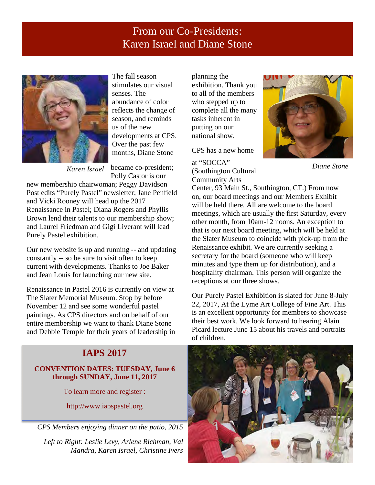#### From our Co-Presidents: Karen Israel and Diane Stone



The fall season stimulates our visual senses. The abundance of color reflects the change of season, and reminds us of the new developments at CPS. Over the past few months, Diane Stone

Polly Castor is our

new membership chairwoman; Peggy Davidson Post edits "Purely Pastel" newsletter; Jane Penfield and Vicki Rooney will head up the 2017 Renaissance in Pastel; Diana Rogers and Phyllis Brown lend their talents to our membership show; and Laurel Friedman and Gigi Liverant will lead Purely Pastel exhibition.

Our new website is up and running -- and updating constantly -- so be sure to visit often to keep current with developments. Thanks to Joe Baker and Jean Louis for launching our new site.

Renaissance in Pastel 2016 is currently on view at The Slater Memorial Museum. Stop by before November 12 and see some wonderful pastel paintings. As CPS directors and on behalf of our entire membership we want to thank Diane Stone and Debbie Temple for their years of leadership in

#### **IAPS 2017**

#### **CONVENTION DATES: TUESDAY, June 6 through SUNDAY, June 11, 2017**

To learn more and register :

http://www.iapspastel.org

*CPS Members enjoying dinner on the patio, 2015*

*Left to Right: Leslie Levy, Arlene Richman, Val Mandra, Karen Israel, Christine Ivers*

planning the exhibition. Thank you to all of the members who stepped up to complete all the many tasks inherent in putting on our national show.

CPS has a new home

became co-president; *Karen Israel Diane Stone* at "SOCCA" (Southington Cultural Community Arts



Center, 93 Main St., Southington, CT.) From now on, our board meetings and our Members Exhibit will be held there. All are welcome to the board meetings, which are usually the first Saturday, every other month, from 10am-12 noons. An exception to that is our next board meeting, which will be held at the Slater Museum to coincide with pick-up from the Renaissance exhibit. We are currently seeking a secretary for the board (someone who will keep minutes and type them up for distribution), and a hospitality chairman. This person will organize the receptions at our three shows.

Our Purely Pastel Exhibition is slated for June 8-July 22, 2017, At the Lyme Art College of Fine Art. This is an excellent opportunity for members to showcase their best work. We look forward to hearing Alain Picard lecture June 15 about his travels and portraits of children.

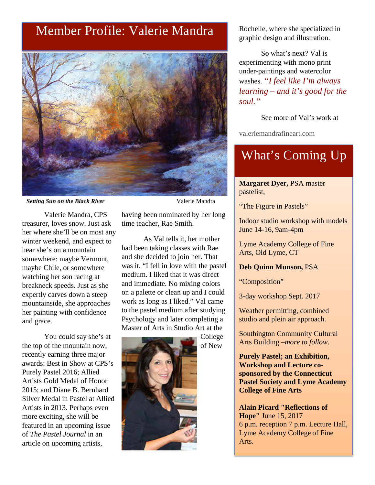### Member Profile: Valerie Mandra



**Setting Sun on the Black River** *Valerie Mandra* 

Valerie Mandra, CPS treasurer, loves snow. Just ask her where she'll be on most any winter weekend, and expect to hear she's on a mountain somewhere: maybe Vermont, maybe Chile, or somewhere watching her son racing at breakneck speeds. Just as she expertly carves down a steep mountainside, she approaches her painting with confidence and grace.

You could say she's at the top of the mountain now, recently earning three major awards: Best in Show at CPS's Purely Pastel 2016; Allied Artists Gold Medal of Honor 2015; and Diane B. Bernhard Silver Medal in Pastel at Allied Artists in 2013. Perhaps even more exciting, she will be featured in an upcoming issue of *The Pastel Journal* in an article on upcoming artists,

having been nominated by her long time teacher, Rae Smith.

As Val tells it, her mother had been taking classes with Rae and she decided to join her. That was it. "I fell in love with the pastel medium. I liked that it was direct and immediate. No mixing colors on a palette or clean up and I could work as long as I liked." Val came to the pastel medium after studying Psychology and later completing a Master of Arts in Studio Art at the

> College of New



Rochelle, where she specialized in graphic design and illustration.

So what's next? Val is experimenting with mono print under-paintings and watercolor washes. *"I feel like I'm always learning – and it's good for the soul."*

See more of Val's work at

valeriemandrafineart.com

## What's Coming Up

**Margaret Dyer,** PSA master pastelist,

"The Figure in Pastels"

Indoor studio workshop with models June 14-16, 9am-4pm

Lyme Academy College of Fine Arts, Old Lyme, CT

#### **Deb Quinn Munson,** PSA

"Composition"

3-day workshop Sept. 2017

Weather permitting, combined studio and plein air approach.

Southington Community Cultural Arts Building –*more to follow.*

**Purely Pastel; an Exhibition, Workshop and Lecture cosponsored by the Connecticut Pastel Society and Lyme Academy College of Fine Arts**

**Alain Picard "Reflections of Hope"** June 15, 2017 6 p.m. reception 7 p.m. Lecture Hall, Lyme Academy College of Fine Arts.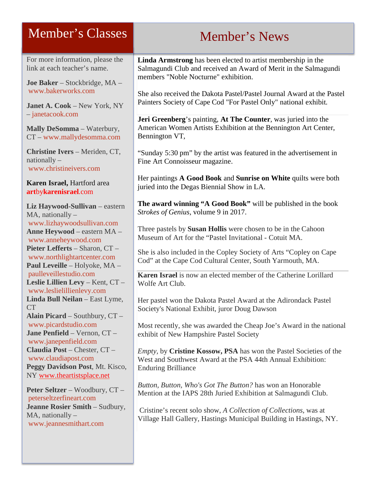### Member's Classes

For more information, please the link at each teacher's name.

**Joe Baker** – Stockbridge, MA – www.bakerworks.com

**Janet A. Cook** – New York, NY – janetacook.com

**Mally DeSomma** – Waterbury, CT – www.mallydesomma.com

**Christine Ivers** – Meriden, CT, nationally – www.christineivers.com

#### **Karen Israel,** Hartford area **art**by**karenisrael**.com

**Liz Haywood-Sullivan** – eastern MA, nationally – www.lizhaywoodsullivan.com **Anne Heywood** – eastern MA – www.anneheywood.com **Pieter Lefferts** – Sharon, CT – www.northlightartcenter.com **Paul Leveille** – Holyoke, MA – paulleveillestudio.com **Leslie Lillien Levy** – Kent, CT – www.leslielillienlevy.com **Linda Bull Neilan** – East Lyme, CT **Alain Picard** – Southbury, CT – www.picardstudio.com **Jane Penfield** – Vernon, CT – www.janepenfield.com **Claudia Post** – Chester, CT – www.claudiapost.com **Peggy Davidson Post**, Mt. Kisco, NY www.theartistsplace.net

**Peter Seltzer** – Woodbury, CT – peterseltzerfineart.com **Jeanne Rosier Smith** – Sudbury, MA, nationally – www.jeannesmithart.com

# Member's News

**Linda Armstrong** has been elected to artist membership in the Salmagundi Club and received an Award of Merit in the Salmagundi members "Noble Nocturne" exhibition.

She also received the Dakota Pastel/Pastel Journal Award at the Pastel Painters Society of Cape Cod "For Pastel Only" national exhibit.

**Jeri Greenberg**'s painting, **At The Counter**, was juried into the American Women Artists Exhibition at the Bennington Art Center, Bennington VT,

"Sunday 5:30 pm" by the artist was featured in the advertisement in Fine Art Connoisseur magazine.

Her paintings **A Good Book** and **Sunrise on White** quilts were both juried into the Degas Biennial Show in LA.

**The award winning "A Good Book"** will be published in the book *Strokes of Genius*, volume 9 in 2017.

Three pastels by **Susan Hollis** were chosen to be in the Cahoon Museum of Art for the "Pastel Invitational - Cotuit MA.

She is also included in the Copley Society of Arts "Copley on Cape Cod" at the Cape Cod Cultural Center, South Yarmouth, MA.

**Karen Israel** is now an elected member of the Catherine Lorillard Wolfe Art Club.

Her pastel won the Dakota Pastel Award at the Adirondack Pastel Society's National Exhibit, juror Doug Dawson

Most recently, she was awarded the Cheap Joe's Award in the national exhibit of New Hampshire Pastel Society

*Empty,* by **Cristine Kossow, PSA** has won the Pastel Societies of the West and Southwest Award at the PSA 44th Annual Exhibition: Enduring Brilliance

*Button, Button, Who's Got The Button?* has won an Honorable Mention at the IAPS 28th Juried Exhibition at Salmagundi Club.

Cristine's recent solo show, *A Collection of Collections*, was at Village Hall Gallery, Hastings Municipal Building in Hastings, NY.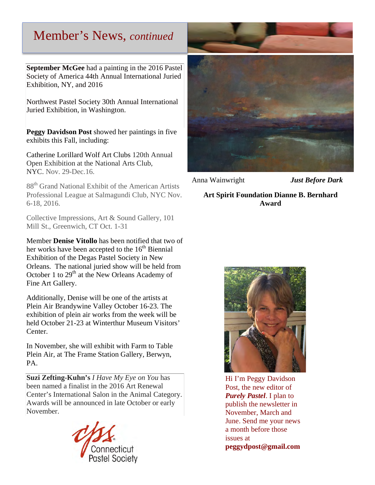### Member's News, *continued*

**September McGee** had a painting in the 2016 Pastel Society of America 44th Annual International Juried Exhibition, NY, and 2016

Northwest Pastel Society 30th Annual International Juried Exhibition, in Washington.

**Peggy Davidson Post** showed her paintings in five exhibits this Fall, including:

Catherine Lorillard Wolf Art Clubs 120th Annual Open Exhibition at the National Arts Club, NYC. Nov. 29-Dec.16.

88<sup>th</sup> Grand National Exhibit of the American Artists Professional League at Salmagundi Club, NYC Nov. 6-18, 2016.

Collective Impressions, Art & Sound Gallery, 101 Mill St., Greenwich, CT Oct. 1-31

Member **Denise Vitollo** has been notified that two of her works have been accepted to the  $16<sup>th</sup>$  Biennial Exhibition of the Degas Pastel Society in New Orleans. The national juried show will be held from October 1 to  $29<sup>th</sup>$  at the New Orleans Academy of Fine Art Gallery.

Additionally, Denise will be one of the artists at Plein Air Brandywine Valley October 16-23. The exhibition of plein air works from the week will be held October 21-23 at Winterthur Museum Visitors' Center.

In November, she will exhibit with Farm to Table Plein Air, at The Frame Station Gallery, Berwyn, PA.

**Suzi Zefting-Kuhn's** *I Have My Eye on You* has been named a finalist in the 2016 Art Renewal Center's International Salon in the Animal Category. Awards will be announced in late October or early November.





Anna Wainwright *Just Before Dark*

#### **Art Spirit Foundation Dianne B. Bernhard Award**



Hi I'm Peggy Davidson Post, the new editor of *Purely Pastel*. I plan to publish the newsletter in November, March and June. Send me your news a month before those issues at **peggydpost@gmail.com**